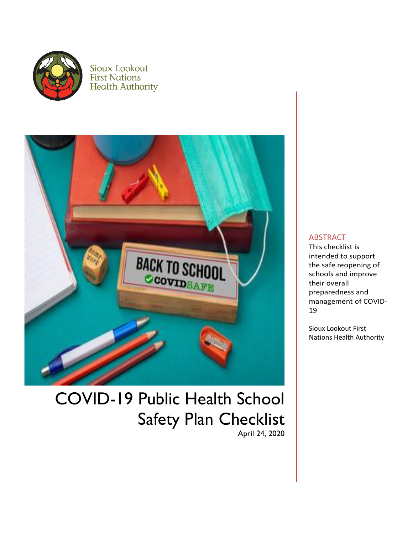

Sioux Lookout **First Nations Health Authority** 



# COVID-19 Public Health School Safety Plan Checklist April 24, 2020

#### ABSTRACT

This checklist is intended to support the safe reopening of schools and improve their overall preparedness and management of COVID-19

Sioux Lookout First Nations Health Authority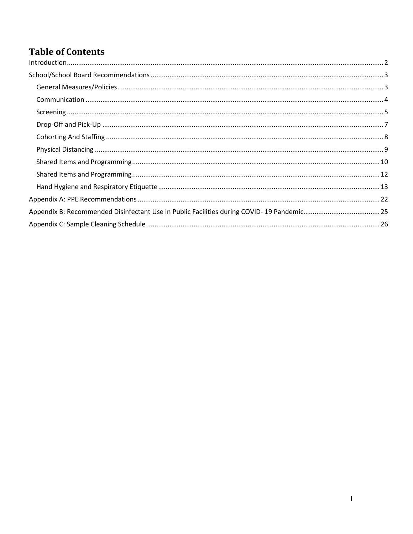## **Table of Contents**

| Appendix B: Recommended Disinfectant Use in Public Facilities during COVID-19 Pandemic25 |  |
|------------------------------------------------------------------------------------------|--|
|                                                                                          |  |
|                                                                                          |  |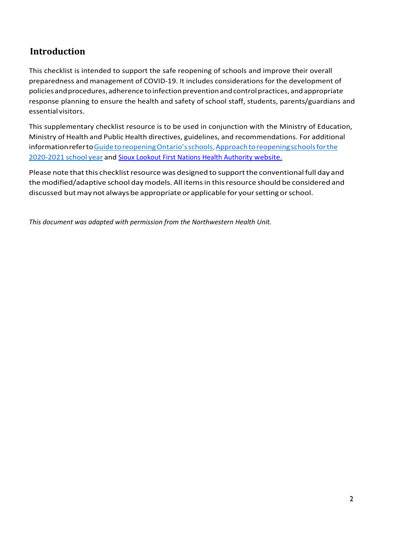### <span id="page-2-0"></span>**Introduction**

This checklist is intended to support the safe reopening of schools and improve their overall preparedness and management of COVID-19. It includes considerations for the development of policies and procedures, adherence to infection prevention and control practices, and appropriate response planning to ensure the health and safety of school staff, students, parents/guardians and essential visitors.

This supplementary checklist resource is to be used in conjunction with the Ministry of Education, Ministry of Health and Public Health directives, guidelines, and recommendations. For additional information referto Guide to reopening Ontario's schools, Approach to reopening schools for the [2020-2021](https://www.ontario.ca/page/approach-reopening-schools-2020-2021-school-year) school year and [Sioux Lookout First Nations Health Authority website.](https://slfnha.com/)

Please note that this checklist resource was designed to support the conventional full day and themodified/adaptive school daymodels. All itemsin thisresource should be considered and discussed but may not always be appropriate or applicable for your setting or school.

*This document was adapted with permission from the Northwestern Health Unit.*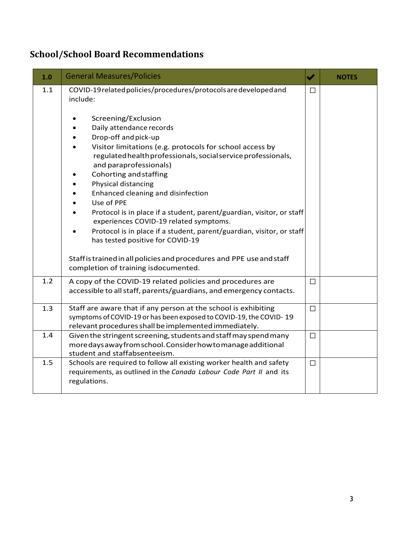## <span id="page-3-0"></span>**School/School Board Recommendations**

<span id="page-3-1"></span>

| 1.0 | <b>General Measures/Policies</b>                                                                                                                                                                                                                                                                                                                                                                                                                                                                                                                                    | $\blacktriangledown$ | <b>NOTES</b> |
|-----|---------------------------------------------------------------------------------------------------------------------------------------------------------------------------------------------------------------------------------------------------------------------------------------------------------------------------------------------------------------------------------------------------------------------------------------------------------------------------------------------------------------------------------------------------------------------|----------------------|--------------|
| 1.1 | COVID-19 related policies/procedures/protocols are developed and<br>include:                                                                                                                                                                                                                                                                                                                                                                                                                                                                                        | $\Box$               |              |
|     | Screening/Exclusion<br>Daily attendance records<br>Drop-off and pick-up<br>Visitor limitations (e.g. protocols for school access by<br>regulated health professionals, social service professionals,<br>and paraprofessionals)<br>Cohorting and staffing<br>Physical distancing<br>Enhanced cleaning and disinfection<br>Use of PPE<br>Protocol is in place if a student, parent/guardian, visitor, or staff<br>experiences COVID-19 related symptoms.<br>Protocol is in place if a student, parent/guardian, visitor, or staff<br>has tested positive for COVID-19 |                      |              |
|     | Staff is trained in all policies and procedures and PPE use and staff<br>completion of training isdocumented.                                                                                                                                                                                                                                                                                                                                                                                                                                                       |                      |              |
| 1.2 | A copy of the COVID-19 related policies and procedures are<br>accessible to all staff, parents/guardians, and emergency contacts.                                                                                                                                                                                                                                                                                                                                                                                                                                   | $\Box$               |              |
| 1.3 | Staff are aware that if any person at the school is exhibiting<br>symptoms of COVID-19 or has been exposed to COVID-19, the COVID-19<br>relevant procedures shall be implemented immediately.                                                                                                                                                                                                                                                                                                                                                                       | $\Box$               |              |
| 1.4 | Given the stringent screening, students and staff may spend many<br>more days away from school. Consider how to manage additional<br>student and staffabsenteeism.                                                                                                                                                                                                                                                                                                                                                                                                  | $\Box$               |              |
| 1.5 | Schools are required to follow all existing worker health and safety<br>requirements, as outlined in the Canada Labour Code Part II and its<br>regulations.                                                                                                                                                                                                                                                                                                                                                                                                         | $\Box$               |              |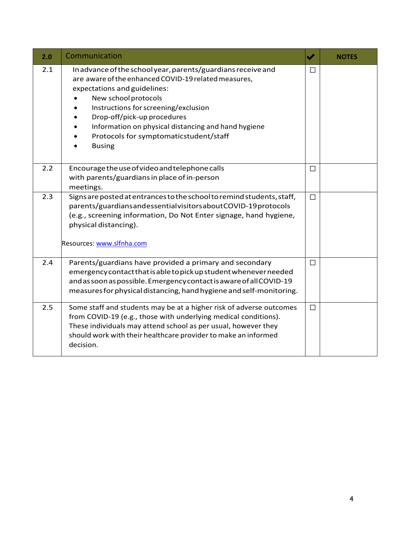<span id="page-4-0"></span>

| 2.0 | Communication                                                                                                                                                                                                                                                                                                                                                         | $\blacktriangledown$ | <b>NOTES</b> |
|-----|-----------------------------------------------------------------------------------------------------------------------------------------------------------------------------------------------------------------------------------------------------------------------------------------------------------------------------------------------------------------------|----------------------|--------------|
| 2.1 | In advance of the school year, parents/guardians receive and<br>are aware of the enhanced COVID-19 related measures,<br>expectations and guidelines:<br>New school protocols<br>Instructions for screening/exclusion<br>Drop-off/pick-up procedures<br>Information on physical distancing and hand hygiene<br>Protocols for symptomaticstudent/staff<br><b>Busing</b> | П                    |              |
| 2.2 | Encourage the use of video and telephone calls<br>with parents/guardians in place of in-person<br>meetings.                                                                                                                                                                                                                                                           | $\Box$               |              |
| 2.3 | Signs are posted at entrances to the school to remind students, staff,<br>parents/guardiansandessentialvisitorsaboutCOVID-19protocols<br>(e.g., screening information, Do Not Enter signage, hand hygiene,<br>physical distancing).<br>Resources: www.slfnha.com                                                                                                      | $\Box$               |              |
| 2.4 | Parents/guardians have provided a primary and secondary<br>emergency contact that is able to pick up student whenever needed<br>and as soon as possible. Emergency contact is aware of all COVID-19<br>measures for physical distancing, hand hygiene and self-monitoring.                                                                                            | $\Box$               |              |
| 2.5 | Some staff and students may be at a higher risk of adverse outcomes<br>from COVID-19 (e.g., those with underlying medical conditions).<br>These individuals may attend school as per usual, however they<br>should work with their healthcare provider to make an informed<br>decision.                                                                               | $\Box$               |              |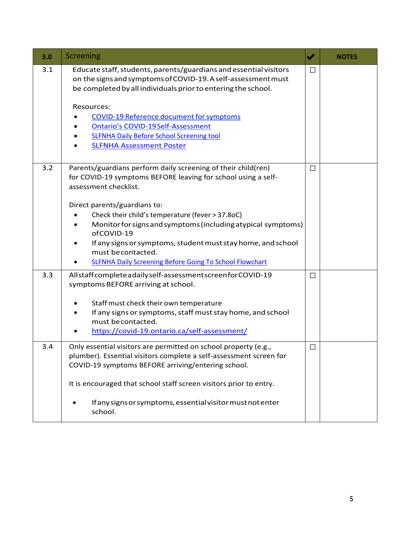<span id="page-5-0"></span>

| 3.0 | Screening                                                                                                                                                                                                                                                                                                                                                                                                                                                                                      | ✔      | <b>NOTES</b> |
|-----|------------------------------------------------------------------------------------------------------------------------------------------------------------------------------------------------------------------------------------------------------------------------------------------------------------------------------------------------------------------------------------------------------------------------------------------------------------------------------------------------|--------|--------------|
| 3.1 | Educate staff, students, parents/guardians and essential visitors<br>on the signs and symptoms of COVID-19. A self-assessment must<br>be completed by all individuals prior to entering the school.<br>Resources:<br><b>COVID-19 Reference document for symptoms</b><br><b>Ontario's COVID-19 Self-Assessment</b><br><b>SLFNHA Daily Before School Screening tool</b><br><b>SLFNHA Assessment Poster</b>                                                                                       | $\Box$ |              |
| 3.2 | Parents/guardians perform daily screening of their child(ren)<br>for COVID-19 symptoms BEFORE leaving for school using a self-<br>assessment checklist.<br>Direct parents/guardians to:<br>Check their child's temperature (fever > 37.8oC)<br>Monitor for signs and symptoms (including atypical symptoms)<br>$\bullet$<br>ofCOVID-19<br>If any signs or symptoms, student must stay home, and school<br>must be contacted.<br><b>SLFNHA Daily Screening Before Going To School Flowchart</b> | $\Box$ |              |
| 3.3 | Allstaffcompleteadailyself-assessmentscreenforCOVID-19<br>symptoms BEFORE arriving at school.<br>Staff must check their own temperature<br>If any signs or symptoms, staff must stay home, and school<br>must be contacted.<br>https://covid-19.ontario.ca/self-assessment/                                                                                                                                                                                                                    | П      |              |
| 3.4 | Only essential visitors are permitted on school property (e.g.,<br>plumber). Essential visitors complete a self-assessment screen for<br>COVID-19 symptoms BEFORE arriving/entering school.<br>It is encouraged that school staff screen visitors prior to entry.<br>If any signs or symptoms, essential visitor must not enter<br>school.                                                                                                                                                     | $\Box$ |              |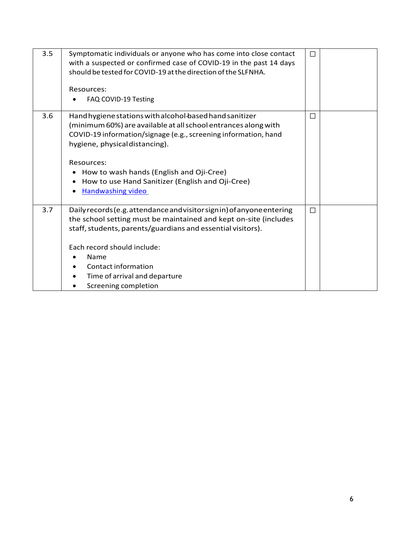| 3.5 | Symptomatic individuals or anyone who has come into close contact<br>with a suspected or confirmed case of COVID-19 in the past 14 days<br>should be tested for COVID-19 at the direction of the SLFNHA.<br>Resources:<br>FAQ COVID-19 Testing                                                                                                                                        | $\Box$ |  |
|-----|---------------------------------------------------------------------------------------------------------------------------------------------------------------------------------------------------------------------------------------------------------------------------------------------------------------------------------------------------------------------------------------|--------|--|
| 3.6 | Hand hygiene stations with alcohol-based hand sanitizer<br>(minimum 60%) are available at all school entrances along with<br>COVID-19 information/signage (e.g., screening information, hand<br>hygiene, physical distancing).<br>Resources:<br>How to wash hands (English and Oji-Cree)<br>How to use Hand Sanitizer (English and Oji-Cree)<br><b>Handwashing video</b><br>$\bullet$ | П      |  |
| 3.7 | Daily records (e.g. attendance and visitor sign in) of anyone entering<br>the school setting must be maintained and kept on-site (includes<br>staff, students, parents/guardians and essential visitors).<br>Each record should include:<br>Name<br>Contact information<br>Time of arrival and departure<br>Screening completion                                                      | $\Box$ |  |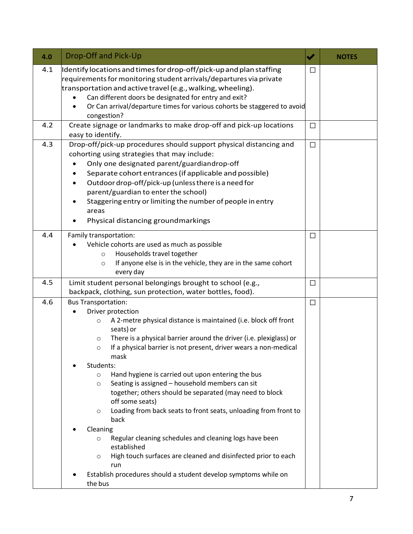<span id="page-7-0"></span>

| 4.0 | <b>Drop-Off and Pick-Up</b>                                                                                                                                                                                                                                                                                                                                                                                                                                                                                                                                                                                                                                                                                                                                                                                                                                                                        | $\blacktriangledown$ | <b>NOTES</b> |
|-----|----------------------------------------------------------------------------------------------------------------------------------------------------------------------------------------------------------------------------------------------------------------------------------------------------------------------------------------------------------------------------------------------------------------------------------------------------------------------------------------------------------------------------------------------------------------------------------------------------------------------------------------------------------------------------------------------------------------------------------------------------------------------------------------------------------------------------------------------------------------------------------------------------|----------------------|--------------|
| 4.1 | Identify locations and times for drop-off/pick-up and plan staffing<br>requirements for monitoring student arrivals/departures via private<br>transportation and active travel (e.g., walking, wheeling).<br>Can different doors be designated for entry and exit?<br>Or Can arrival/departure times for various cohorts be staggered to avoid<br>congestion?                                                                                                                                                                                                                                                                                                                                                                                                                                                                                                                                      | $\Box$               |              |
| 4.2 | Create signage or landmarks to make drop-off and pick-up locations<br>easy to identify.                                                                                                                                                                                                                                                                                                                                                                                                                                                                                                                                                                                                                                                                                                                                                                                                            | $\Box$               |              |
| 4.3 | Drop-off/pick-up procedures should support physical distancing and<br>cohorting using strategies that may include:<br>Only one designated parent/guardiandrop-off<br>Separate cohort entrances (if applicable and possible)<br>Outdoor drop-off/pick-up (unless there is a need for<br>parent/guardian to enter the school)<br>Staggering entry or limiting the number of people in entry<br>areas<br>Physical distancing groundmarkings                                                                                                                                                                                                                                                                                                                                                                                                                                                           | $\Box$               |              |
| 4.4 | Family transportation:<br>Vehicle cohorts are used as much as possible<br>Households travel together<br>$\circ$<br>If anyone else is in the vehicle, they are in the same cohort<br>$\circ$<br>every day                                                                                                                                                                                                                                                                                                                                                                                                                                                                                                                                                                                                                                                                                           | $\Box$               |              |
| 4.5 | Limit student personal belongings brought to school (e.g.,<br>backpack, clothing, sun protection, water bottles, food).                                                                                                                                                                                                                                                                                                                                                                                                                                                                                                                                                                                                                                                                                                                                                                            | $\Box$               |              |
| 4.6 | <b>Bus Transportation:</b><br>Driver protection<br>A 2-metre physical distance is maintained (i.e. block off front<br>$\circ$<br>seats) or<br>There is a physical barrier around the driver (i.e. plexiglass) or<br>$\circ$<br>If a physical barrier is not present, driver wears a non-medical<br>$\circ$<br>mask<br>Students:<br>Hand hygiene is carried out upon entering the bus<br>$\circ$<br>Seating is assigned - household members can sit<br>$\circ$<br>together; others should be separated (may need to block<br>off some seats)<br>Loading from back seats to front seats, unloading from front to<br>$\circ$<br>back<br>Cleaning<br>Regular cleaning schedules and cleaning logs have been<br>$\circ$<br>established<br>High touch surfaces are cleaned and disinfected prior to each<br>$\circ$<br>run<br>Establish procedures should a student develop symptoms while on<br>the bus | $\Box$               |              |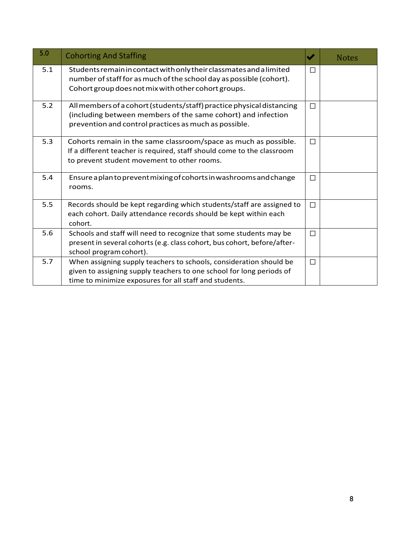<span id="page-8-0"></span>

| 5.0 | <b>Cohorting And Staffing</b>                                                                                                                                                                        | ✔      | <b>Notes</b> |
|-----|------------------------------------------------------------------------------------------------------------------------------------------------------------------------------------------------------|--------|--------------|
| 5.1 | Students remain in contact with only their classmates and a limited<br>number of staff for as much of the school day as possible (cohort).<br>Cohort group does not mix with other cohort groups.    | П      |              |
| 5.2 | All members of a cohort (students/staff) practice physical distancing<br>(including between members of the same cohort) and infection<br>prevention and control practices as much as possible.       | $\Box$ |              |
| 5.3 | Cohorts remain in the same classroom/space as much as possible.<br>If a different teacher is required, staff should come to the classroom<br>to prevent student movement to other rooms.             | $\Box$ |              |
| 5.4 | Ensure a plan to prevent mixing of cohorts in washrooms and change<br>rooms.                                                                                                                         | $\Box$ |              |
| 5.5 | Records should be kept regarding which students/staff are assigned to<br>each cohort. Daily attendance records should be kept within each<br>cohort.                                                 | $\Box$ |              |
| 5.6 | Schools and staff will need to recognize that some students may be<br>present in several cohorts (e.g. class cohort, bus cohort, before/after-<br>school program cohort).                            | $\Box$ |              |
| 5.7 | When assigning supply teachers to schools, consideration should be<br>given to assigning supply teachers to one school for long periods of<br>time to minimize exposures for all staff and students. | $\Box$ |              |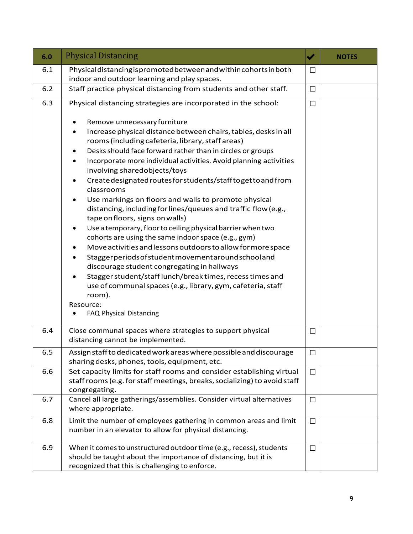<span id="page-9-0"></span>

| 6.0 | <b>Physical Distancing</b>                                                                                                                                                                                                                                                                                                                                                                                                                                                                                                                                                                                                                                                                                                                                                                                                                                                                                                                                                                                                                                                           | $\blacktriangledown$ | <b>NOTES</b> |
|-----|--------------------------------------------------------------------------------------------------------------------------------------------------------------------------------------------------------------------------------------------------------------------------------------------------------------------------------------------------------------------------------------------------------------------------------------------------------------------------------------------------------------------------------------------------------------------------------------------------------------------------------------------------------------------------------------------------------------------------------------------------------------------------------------------------------------------------------------------------------------------------------------------------------------------------------------------------------------------------------------------------------------------------------------------------------------------------------------|----------------------|--------------|
| 6.1 | Physical distancing is promoted between and within cohorts in both<br>indoor and outdoor learning and play spaces.                                                                                                                                                                                                                                                                                                                                                                                                                                                                                                                                                                                                                                                                                                                                                                                                                                                                                                                                                                   | □                    |              |
| 6.2 | Staff practice physical distancing from students and other staff.                                                                                                                                                                                                                                                                                                                                                                                                                                                                                                                                                                                                                                                                                                                                                                                                                                                                                                                                                                                                                    | $\Box$               |              |
| 6.3 | Physical distancing strategies are incorporated in the school:                                                                                                                                                                                                                                                                                                                                                                                                                                                                                                                                                                                                                                                                                                                                                                                                                                                                                                                                                                                                                       | $\Box$               |              |
|     | Remove unnecessary furniture<br>Increase physical distance between chairs, tables, desks in all<br>rooms (including cafeteria, library, staff areas)<br>Desks should face forward rather than in circles or groups<br>٠<br>Incorporate more individual activities. Avoid planning activities<br>$\bullet$<br>involving sharedobjects/toys<br>Create designated routes for students/staff to get to and from<br>$\bullet$<br>classrooms<br>Use markings on floors and walls to promote physical<br>distancing, including for lines/queues and traffic flow (e.g.,<br>tape on floors, signs on walls)<br>Use a temporary, floor to ceiling physical barrier when two<br>٠<br>cohorts are using the same indoor space (e.g., gym)<br>Move activities and lessons outdoors to allow for more space<br>Staggerperiods of student movement around school and<br>discourage student congregating in hallways<br>Stagger student/staff lunch/break times, recess times and<br>use of communal spaces (e.g., library, gym, cafeteria, staff<br>room).<br>Resource:<br>FAQ Physical Distancing |                      |              |
| 6.4 | Close communal spaces where strategies to support physical<br>distancing cannot be implemented.                                                                                                                                                                                                                                                                                                                                                                                                                                                                                                                                                                                                                                                                                                                                                                                                                                                                                                                                                                                      | $\Box$               |              |
| 6.5 | Assign staff to dedicated work areas where possible and discourage<br>sharing desks, phones, tools, equipment, etc.                                                                                                                                                                                                                                                                                                                                                                                                                                                                                                                                                                                                                                                                                                                                                                                                                                                                                                                                                                  | $\Box$               |              |
| 6.6 | Set capacity limits for staff rooms and consider establishing virtual<br>staff rooms (e.g. for staff meetings, breaks, socializing) to avoid staff<br>congregating.                                                                                                                                                                                                                                                                                                                                                                                                                                                                                                                                                                                                                                                                                                                                                                                                                                                                                                                  | $\Box$               |              |
| 6.7 | Cancel all large gatherings/assemblies. Consider virtual alternatives<br>where appropriate.                                                                                                                                                                                                                                                                                                                                                                                                                                                                                                                                                                                                                                                                                                                                                                                                                                                                                                                                                                                          | $\Box$               |              |
| 6.8 | Limit the number of employees gathering in common areas and limit<br>number in an elevator to allow for physical distancing.                                                                                                                                                                                                                                                                                                                                                                                                                                                                                                                                                                                                                                                                                                                                                                                                                                                                                                                                                         | $\Box$               |              |
| 6.9 | When it comes to unstructured outdoor time (e.g., recess), students<br>should be taught about the importance of distancing, but it is<br>recognized that this is challenging to enforce.                                                                                                                                                                                                                                                                                                                                                                                                                                                                                                                                                                                                                                                                                                                                                                                                                                                                                             | $\Box$               |              |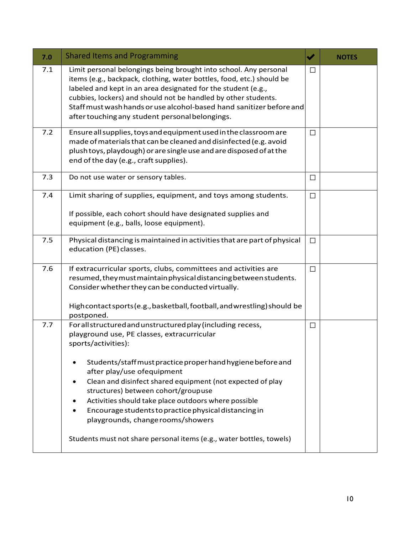<span id="page-10-0"></span>

| 7.0 | <b>Shared Items and Programming</b>                                                                                                                                                                                                                                                                                                                                                                                                                                                                                                                               | $\blacktriangledown$ | <b>NOTES</b> |
|-----|-------------------------------------------------------------------------------------------------------------------------------------------------------------------------------------------------------------------------------------------------------------------------------------------------------------------------------------------------------------------------------------------------------------------------------------------------------------------------------------------------------------------------------------------------------------------|----------------------|--------------|
| 7.1 | Limit personal belongings being brought into school. Any personal<br>items (e.g., backpack, clothing, water bottles, food, etc.) should be<br>labeled and kept in an area designated for the student (e.g.,<br>cubbies, lockers) and should not be handled by other students.<br>Staff must wash hands or use alcohol-based hand sanitizer before and<br>after touching any student personal belongings.                                                                                                                                                          | $\Box$               |              |
| 7.2 | Ensure all supplies, toys and equipment used in the classroom are<br>made of materials that can be cleaned and disinfected (e.g. avoid<br>plush toys, playdough) or are single use and are disposed of at the<br>end of the day (e.g., craft supplies).                                                                                                                                                                                                                                                                                                           | $\Box$               |              |
| 7.3 | Do not use water or sensory tables.                                                                                                                                                                                                                                                                                                                                                                                                                                                                                                                               | $\Box$               |              |
| 7.4 | Limit sharing of supplies, equipment, and toys among students.<br>If possible, each cohort should have designated supplies and<br>equipment (e.g., balls, loose equipment).                                                                                                                                                                                                                                                                                                                                                                                       | $\Box$               |              |
| 7.5 | Physical distancing is maintained in activities that are part of physical<br>education (PE) classes.                                                                                                                                                                                                                                                                                                                                                                                                                                                              | $\Box$               |              |
| 7.6 | If extracurricular sports, clubs, committees and activities are<br>resumed, they must maintain physical distancing between students.<br>Consider whether they can be conducted virtually.<br>Highcontact sports (e.g., basketball, football, and wrestling) should be<br>postponed.                                                                                                                                                                                                                                                                               | $\Box$               |              |
| 7.7 | For all structured and unstructured play (including recess,<br>playground use, PE classes, extracurricular<br>sports/activities):<br>Students/staff must practice proper hand hygiene before and<br>after play/use ofequipment<br>Clean and disinfect shared equipment (not expected of play<br>structures) between cohort/groupuse<br>Activities should take place outdoors where possible<br>Encourage students to practice physical distancing in<br>playgrounds, change rooms/showers<br>Students must not share personal items (e.g., water bottles, towels) | $\Box$               |              |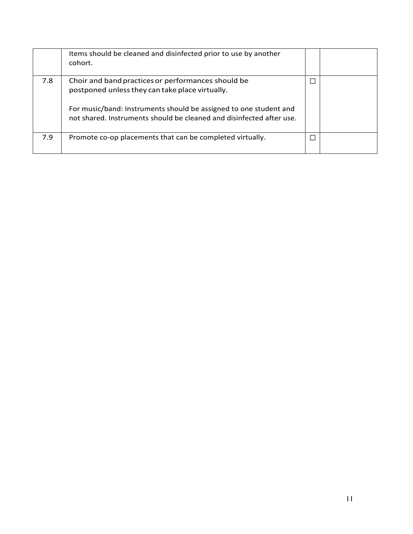|     | Items should be cleaned and disinfected prior to use by another<br>cohort.                                                                                                                                                                         |  |
|-----|----------------------------------------------------------------------------------------------------------------------------------------------------------------------------------------------------------------------------------------------------|--|
| 7.8 | Choir and band practices or performances should be<br>postponed unless they can take place virtually.<br>For music/band: Instruments should be assigned to one student and<br>not shared. Instruments should be cleaned and disinfected after use. |  |
| 7.9 | Promote co-op placements that can be completed virtually.                                                                                                                                                                                          |  |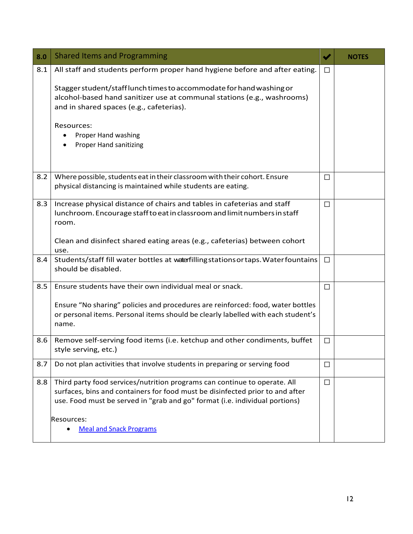<span id="page-12-0"></span>

| 8.0 | <b>Shared Items and Programming</b>                                                                                                                                                                                                                                                                                                             | $\blacktriangledown$ | <b>NOTES</b> |
|-----|-------------------------------------------------------------------------------------------------------------------------------------------------------------------------------------------------------------------------------------------------------------------------------------------------------------------------------------------------|----------------------|--------------|
| 8.1 | All staff and students perform proper hand hygiene before and after eating.<br>Stagger student/stafflunch times to accommodate for hand washing or<br>alcohol-based hand sanitizer use at communal stations (e.g., washrooms)<br>and in shared spaces (e.g., cafeterias).<br>Resources:<br>Proper Hand washing<br><b>Proper Hand sanitizing</b> | $\Box$               |              |
| 8.2 | Where possible, students eat in their classroom with their cohort. Ensure<br>physical distancing is maintained while students are eating.                                                                                                                                                                                                       | □                    |              |
| 8.3 | Increase physical distance of chairs and tables in cafeterias and staff<br>lunchroom. Encourage staff to eat in classroom and limit numbers in staff<br>room.<br>Clean and disinfect shared eating areas (e.g., cafeterias) between cohort<br>use.                                                                                              | $\Box$               |              |
| 8.4 | Students/staff fill water bottles at waterfilling stations or taps. Water fountains<br>should be disabled.                                                                                                                                                                                                                                      | $\Box$               |              |
| 8.5 | Ensure students have their own individual meal or snack.<br>Ensure "No sharing" policies and procedures are reinforced: food, water bottles<br>or personal items. Personal items should be clearly labelled with each student's<br>name.                                                                                                        | $\Box$               |              |
| 8.6 | Remove self-serving food items (i.e. ketchup and other condiments, buffet<br>style serving, etc.)                                                                                                                                                                                                                                               | $\Box$               |              |
| 8.7 | Do not plan activities that involve students in preparing or serving food                                                                                                                                                                                                                                                                       | $\Box$               |              |
| 8.8 | Third party food services/nutrition programs can continue to operate. All<br>surfaces, bins and containers for food must be disinfected prior to and after<br>use. Food must be served in "grab and go" format (i.e. individual portions)<br>Resources:<br><b>Meal and Snack Programs</b>                                                       | $\Box$               |              |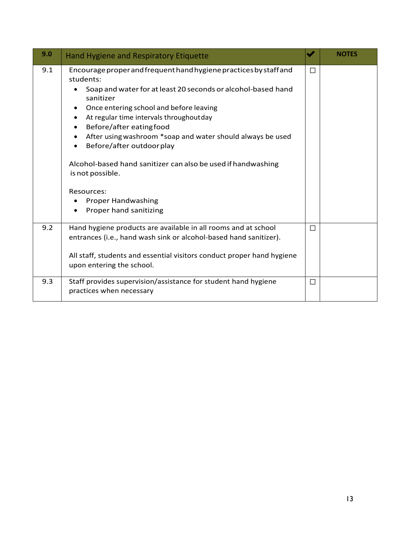<span id="page-13-0"></span>

| 9.0 | Hand Hygiene and Respiratory Etiquette                                                                                                                                                                                                                                                                                                                                                                                                                                                                                                                                               | ✔      | <b>NOTES</b> |
|-----|--------------------------------------------------------------------------------------------------------------------------------------------------------------------------------------------------------------------------------------------------------------------------------------------------------------------------------------------------------------------------------------------------------------------------------------------------------------------------------------------------------------------------------------------------------------------------------------|--------|--------------|
| 9.1 | Encourage proper and frequent hand hygiene practices by staff and<br>students:<br>Soap and water for at least 20 seconds or alcohol-based hand<br>$\bullet$<br>sanitizer<br>Once entering school and before leaving<br>$\bullet$<br>At regular time intervals throughoutday<br>$\bullet$<br>Before/after eatingfood<br>After using washroom *soap and water should always be used<br>$\bullet$<br>Before/after outdoor play<br>Alcohol-based hand sanitizer can also be used if handwashing<br>is not possible.<br>Resources:<br><b>Proper Handwashing</b><br>Proper hand sanitizing | $\Box$ |              |
| 9.2 | Hand hygiene products are available in all rooms and at school<br>entrances (i.e., hand wash sink or alcohol-based hand sanitizer).<br>All staff, students and essential visitors conduct proper hand hygiene<br>upon entering the school.                                                                                                                                                                                                                                                                                                                                           | $\Box$ |              |
| 9.3 | Staff provides supervision/assistance for student hand hygiene<br>practices when necessary                                                                                                                                                                                                                                                                                                                                                                                                                                                                                           | $\Box$ |              |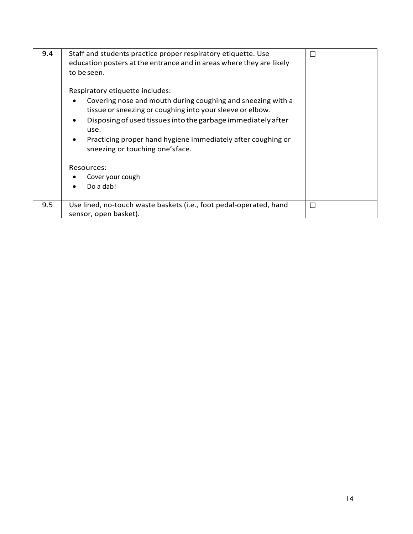| 9.4 | Staff and students practice proper respiratory etiquette. Use<br>education posters at the entrance and in areas where they are likely<br>to be seen.<br>Respiratory etiquette includes:<br>Covering nose and mouth during coughing and sneezing with a<br>tissue or sneezing or coughing into your sleeve or elbow.<br>Disposing of used tissues into the garbage immediately after<br>use.<br>Practicing proper hand hygiene immediately after coughing or<br>$\bullet$<br>sneezing or touching one's face.<br>Resources:<br>Cover your cough<br>Do a dab! |   |  |
|-----|-------------------------------------------------------------------------------------------------------------------------------------------------------------------------------------------------------------------------------------------------------------------------------------------------------------------------------------------------------------------------------------------------------------------------------------------------------------------------------------------------------------------------------------------------------------|---|--|
| 9.5 | Use lined, no-touch waste baskets (i.e., foot pedal-operated, hand<br>sensor, open basket).                                                                                                                                                                                                                                                                                                                                                                                                                                                                 | П |  |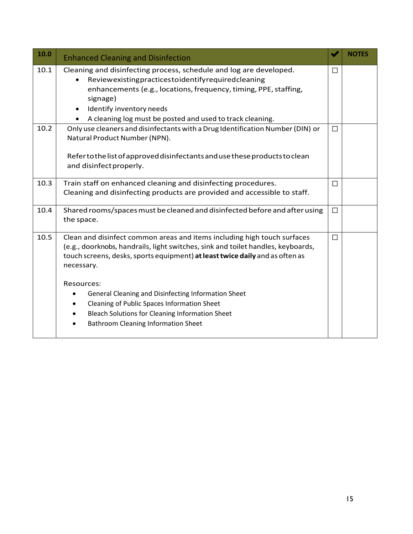| 10.0 | <b>Enhanced Cleaning and Disinfection</b>                                                                                                                                                                                                                                                                                                                                                                                                                                                   |        | <b>NOTES</b> |
|------|---------------------------------------------------------------------------------------------------------------------------------------------------------------------------------------------------------------------------------------------------------------------------------------------------------------------------------------------------------------------------------------------------------------------------------------------------------------------------------------------|--------|--------------|
| 10.1 | Cleaning and disinfecting process, schedule and log are developed.<br>Reviewexistingpracticestoidentifyrequiredcleaning<br>enhancements (e.g., locations, frequency, timing, PPE, staffing,<br>signage)<br>Identify inventory needs<br>$\bullet$<br>A cleaning log must be posted and used to track cleaning.                                                                                                                                                                               | $\Box$ |              |
| 10.2 | Only use cleaners and disinfectants with a Drug Identification Number (DIN) or<br>Natural Product Number (NPN).<br>Refer to the list of approved disinfectants and use these products to clean<br>and disinfect properly.                                                                                                                                                                                                                                                                   | $\Box$ |              |
| 10.3 | Train staff on enhanced cleaning and disinfecting procedures.<br>Cleaning and disinfecting products are provided and accessible to staff.                                                                                                                                                                                                                                                                                                                                                   | $\Box$ |              |
| 10.4 | Shared rooms/spaces must be cleaned and disinfected before and after using<br>the space.                                                                                                                                                                                                                                                                                                                                                                                                    | $\Box$ |              |
| 10.5 | Clean and disinfect common areas and items including high touch surfaces<br>(e.g., doorknobs, handrails, light switches, sink and toilet handles, keyboards,<br>touch screens, desks, sports equipment) at least twice daily and as often as<br>necessary.<br>Resources:<br>General Cleaning and Disinfecting Information Sheet<br>٠<br>Cleaning of Public Spaces Information Sheet<br><b>Bleach Solutions for Cleaning Information Sheet</b><br><b>Bathroom Cleaning Information Sheet</b> | $\Box$ |              |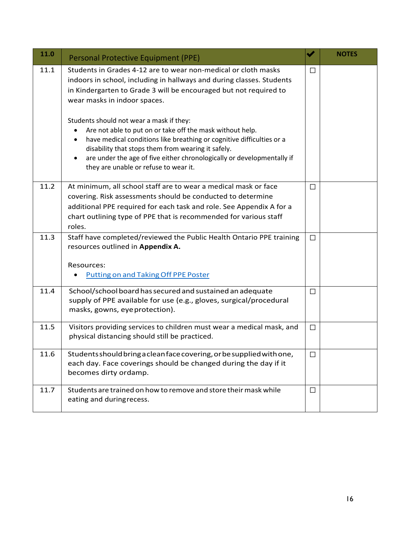| 11.0 | <b>Personal Protective Equipment (PPE)</b>                                                                                                                                                                                                                                                                                                                                                                                                                                                                                                                                                                                        | V      | <b>NOTES</b> |
|------|-----------------------------------------------------------------------------------------------------------------------------------------------------------------------------------------------------------------------------------------------------------------------------------------------------------------------------------------------------------------------------------------------------------------------------------------------------------------------------------------------------------------------------------------------------------------------------------------------------------------------------------|--------|--------------|
| 11.1 | Students in Grades 4-12 are to wear non-medical or cloth masks<br>indoors in school, including in hallways and during classes. Students<br>in Kindergarten to Grade 3 will be encouraged but not required to<br>wear masks in indoor spaces.<br>Students should not wear a mask if they:<br>Are not able to put on or take off the mask without help.<br>have medical conditions like breathing or cognitive difficulties or a<br>$\bullet$<br>disability that stops them from wearing it safely.<br>are under the age of five either chronologically or developmentally if<br>$\bullet$<br>they are unable or refuse to wear it. | $\Box$ |              |
| 11.2 | At minimum, all school staff are to wear a medical mask or face<br>covering. Risk assessments should be conducted to determine<br>additional PPE required for each task and role. See Appendix A for a<br>chart outlining type of PPE that is recommended for various staff<br>roles.                                                                                                                                                                                                                                                                                                                                             | $\Box$ |              |
| 11.3 | Staff have completed/reviewed the Public Health Ontario PPE training<br>resources outlined in Appendix A.<br>Resources:<br>Putting on and Taking Off PPE Poster                                                                                                                                                                                                                                                                                                                                                                                                                                                                   | $\Box$ |              |
| 11.4 | School/school board has secured and sustained an adequate<br>supply of PPE available for use (e.g., gloves, surgical/procedural<br>masks, gowns, eye protection).                                                                                                                                                                                                                                                                                                                                                                                                                                                                 | $\Box$ |              |
| 11.5 | Visitors providing services to children must wear a medical mask, and<br>physical distancing should still be practiced.                                                                                                                                                                                                                                                                                                                                                                                                                                                                                                           | $\Box$ |              |
| 11.6 | Students should bring a clean face covering, or be supplied with one,<br>each day. Face coverings should be changed during the day if it<br>becomes dirty ordamp.                                                                                                                                                                                                                                                                                                                                                                                                                                                                 | □      |              |
| 11.7 | Students are trained on how to remove and store their mask while<br>eating and duringrecess.                                                                                                                                                                                                                                                                                                                                                                                                                                                                                                                                      | $\Box$ |              |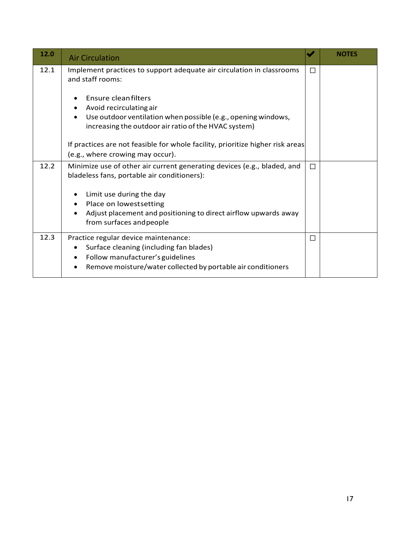| 12.0 | <b>Air Circulation</b>                                                                                                                                                                                        | ✔      | <b>NOTES</b> |
|------|---------------------------------------------------------------------------------------------------------------------------------------------------------------------------------------------------------------|--------|--------------|
| 12.1 | Implement practices to support adequate air circulation in classrooms<br>and staff rooms:                                                                                                                     | П      |              |
|      | Ensure cleanfilters<br>Avoid recirculating air<br>$\bullet$<br>Use outdoor ventilation when possible (e.g., opening windows,<br>$\bullet$<br>increasing the outdoor air ratio of the HVAC system)             |        |              |
|      | If practices are not feasible for whole facility, prioritize higher risk areas<br>(e.g., where crowing may occur).                                                                                            |        |              |
| 12.2 | Minimize use of other air current generating devices (e.g., bladed, and<br>bladeless fans, portable air conditioners):                                                                                        | П      |              |
|      | Limit use during the day<br>$\bullet$<br>Place on lowestsetting<br>$\bullet$                                                                                                                                  |        |              |
|      | Adjust placement and positioning to direct airflow upwards away<br>from surfaces and people                                                                                                                   |        |              |
| 12.3 | Practice regular device maintenance:<br>Surface cleaning (including fan blades)<br>$\bullet$<br>Follow manufacturer's guidelines<br>$\bullet$<br>Remove moisture/water collected by portable air conditioners | $\Box$ |              |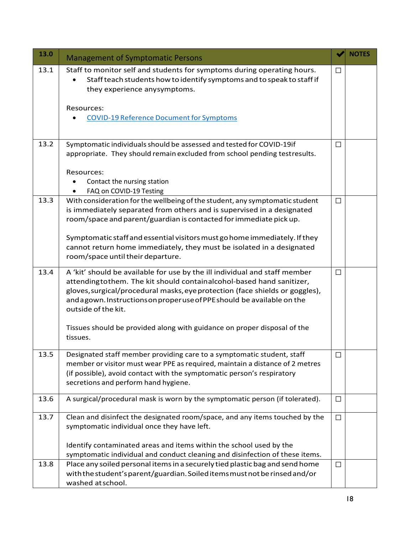| 13.0 | <b>Management of Symptomatic Persons</b>                                                                                                                                                                                                                                                                                             |        | <b>NOTES</b> |
|------|--------------------------------------------------------------------------------------------------------------------------------------------------------------------------------------------------------------------------------------------------------------------------------------------------------------------------------------|--------|--------------|
| 13.1 | Staff to monitor self and students for symptoms during operating hours.<br>Staff teach students how to identify symptoms and to speak to staff if<br>they experience anysymptoms.                                                                                                                                                    | $\Box$ |              |
|      | Resources:<br><b>COVID-19 Reference Document for Symptoms</b>                                                                                                                                                                                                                                                                        |        |              |
| 13.2 | Symptomatic individuals should be assessed and tested for COVID-19if<br>appropriate. They should remain excluded from school pending testresults.                                                                                                                                                                                    | □      |              |
|      | Resources:<br>Contact the nursing station<br>FAQ on COVID-19 Testing                                                                                                                                                                                                                                                                 |        |              |
| 13.3 | With consideration for the wellbeing of the student, any symptomatic student<br>is immediately separated from others and is supervised in a designated<br>room/space and parent/guardian is contacted for immediate pick up.                                                                                                         | □      |              |
|      | Symptomatic staff and essential visitors must go home immediately. If they<br>cannot return home immediately, they must be isolated in a designated<br>room/space until their departure.                                                                                                                                             |        |              |
| 13.4 | A 'kit' should be available for use by the ill individual and staff member<br>attendingtothem. The kit should containalcohol-based hand sanitizer,<br>gloves, surgical/procedural masks, eye protection (face shields or goggles),<br>and agown. Instructions on proper use of PPE should be available on the<br>outside of the kit. | $\Box$ |              |
|      | Tissues should be provided along with guidance on proper disposal of the<br>tissues.                                                                                                                                                                                                                                                 |        |              |
| 13.5 | Designated staff member providing care to a symptomatic student, staff<br>member or visitor must wear PPE as required, maintain a distance of 2 metres<br>(if possible), avoid contact with the symptomatic person's respiratory<br>secretions and perform hand hygiene.                                                             | $\Box$ |              |
| 13.6 | A surgical/procedural mask is worn by the symptomatic person (if tolerated).                                                                                                                                                                                                                                                         | $\Box$ |              |
| 13.7 | Clean and disinfect the designated room/space, and any items touched by the<br>symptomatic individual once they have left.                                                                                                                                                                                                           | $\Box$ |              |
|      | Identify contaminated areas and items within the school used by the<br>symptomatic individual and conduct cleaning and disinfection of these items.                                                                                                                                                                                  |        |              |
| 13.8 | Place any soiled personal items in a securely tied plastic bag and send home<br>with the student's parent/guardian. Soiled items must not be rinsed and/or<br>washed atschool.                                                                                                                                                       | $\Box$ |              |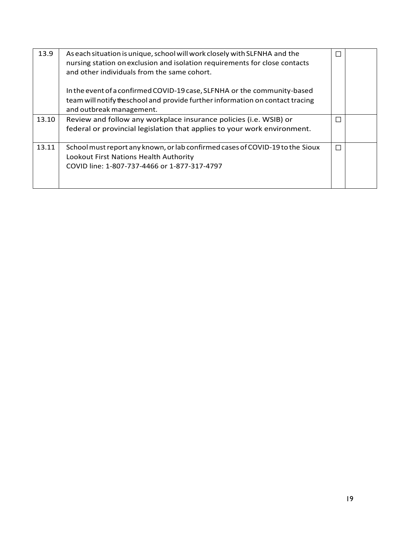| 13.9  | As each situation is unique, school will work closely with SLFNHA and the<br>nursing station on exclusion and isolation requirements for close contacts<br>and other individuals from the same cohort. | Г |  |
|-------|--------------------------------------------------------------------------------------------------------------------------------------------------------------------------------------------------------|---|--|
|       | In the event of a confirmed COVID-19 case, SLFNHA or the community-based<br>team will notify theschool and provide further information on contact tracing<br>and outbreak management.                  |   |  |
| 13.10 | Review and follow any workplace insurance policies (i.e. WSIB) or<br>federal or provincial legislation that applies to your work environment.                                                          | П |  |
| 13.11 | School must report any known, or lab confirmed cases of COVID-19 to the Sioux<br>Lookout First Nations Health Authority<br>COVID line: 1-807-737-4466 or 1-877-317-4797                                | П |  |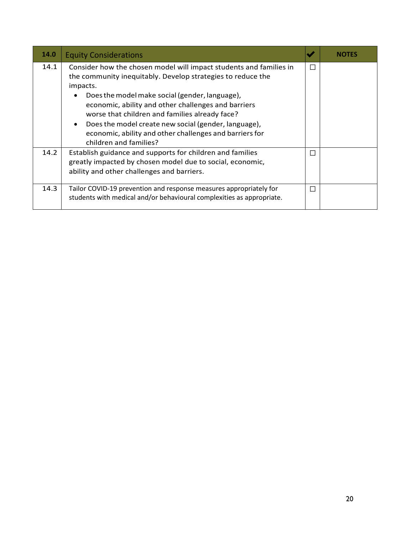| 14.0 | <b>Equity Considerations</b>                                                                                                                                                                                                                                                                                                                                                                                                                                                    |              | NOTES |
|------|---------------------------------------------------------------------------------------------------------------------------------------------------------------------------------------------------------------------------------------------------------------------------------------------------------------------------------------------------------------------------------------------------------------------------------------------------------------------------------|--------------|-------|
| 14.1 | Consider how the chosen model will impact students and families in<br>the community inequitably. Develop strategies to reduce the<br>impacts.<br>Does the model make social (gender, language),<br>$\bullet$<br>economic, ability and other challenges and barriers<br>worse that children and families already face?<br>Does the model create new social (gender, language),<br>$\bullet$<br>economic, ability and other challenges and barriers for<br>children and families? | П            |       |
| 14.2 | Establish guidance and supports for children and families<br>greatly impacted by chosen model due to social, economic,<br>ability and other challenges and barriers.                                                                                                                                                                                                                                                                                                            | $\mathbf{L}$ |       |
| 14.3 | Tailor COVID-19 prevention and response measures appropriately for<br>students with medical and/or behavioural complexities as appropriate.                                                                                                                                                                                                                                                                                                                                     | П            |       |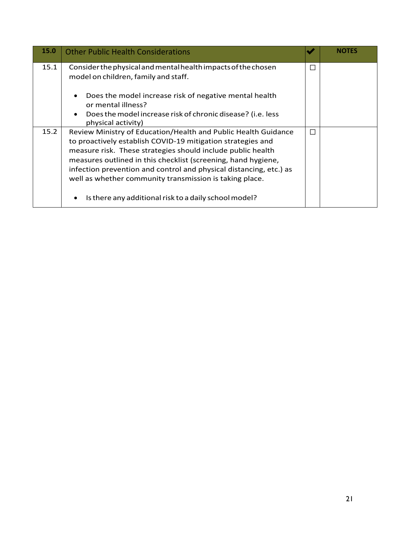| 15.0 | <b>Other Public Health Considerations</b>                                                                                                                                                                                                                                                                                                                                                      | w | <b>NOTES</b> |
|------|------------------------------------------------------------------------------------------------------------------------------------------------------------------------------------------------------------------------------------------------------------------------------------------------------------------------------------------------------------------------------------------------|---|--------------|
| 15.1 | Consider the physical and mental health impacts of the chosen<br>model on children, family and staff.                                                                                                                                                                                                                                                                                          | Ш |              |
|      | Does the model increase risk of negative mental health<br>$\bullet$<br>or mental illness?<br>Does the model increase risk of chronic disease? (i.e. less<br>$\bullet$<br>physical activity)                                                                                                                                                                                                    |   |              |
| 15.2 | Review Ministry of Education/Health and Public Health Guidance<br>to proactively establish COVID-19 mitigation strategies and<br>measure risk. These strategies should include public health<br>measures outlined in this checklist (screening, hand hygiene,<br>infection prevention and control and physical distancing, etc.) as<br>well as whether community transmission is taking place. | П |              |
|      | Is there any additional risk to a daily school model?<br>$\bullet$                                                                                                                                                                                                                                                                                                                             |   |              |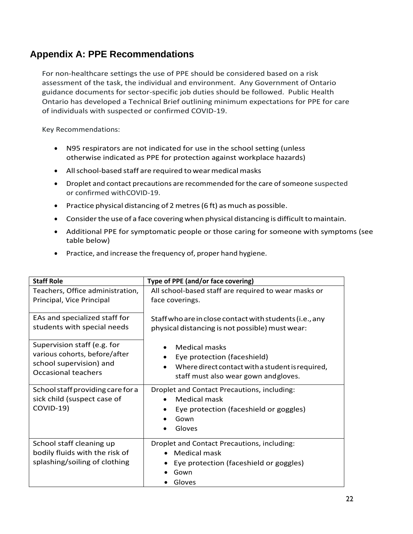### <span id="page-22-0"></span>**Appendix A: PPE Recommendations**

For non-healthcare settings the use of PPE should be considered based on a risk assessment of the task, the individual and environment. Any Government of Ontario guidance documents for sector-specific job duties should be followed. Public Health Ontario has developed a Technical Brief outlining minimum expectations for PPE for care of individuals with suspected or confirmed COVID-19.

Key Recommendations:

- N95 respirators are not indicated for use in the school setting (unless otherwise indicated as PPE for protection against workplace hazards)
- All school-based staff are required to wear medical masks
- Droplet and contact precautions are recommended for the care of someone suspected or confirmed withCOVID-19.
- Practice physical distancing of 2 metres (6 ft) as much as possible.
- Consider the use of a face covering when physical distancing is difficult to maintain.
- Additional PPE for symptomatic people or those caring for someone with symptoms (see table below)
- Practice, and increase the frequency of, proper hand hygiene.

| <b>Staff Role</b>                                                                           | Type of PPE (and/or face covering)                                                                                             |  |
|---------------------------------------------------------------------------------------------|--------------------------------------------------------------------------------------------------------------------------------|--|
| Teachers, Office administration,                                                            | All school-based staff are required to wear masks or                                                                           |  |
| Principal, Vice Principal                                                                   | face coverings.                                                                                                                |  |
| EAs and specialized staff for                                                               | Staff who are in close contact with students (i.e., any                                                                        |  |
| students with special needs                                                                 | physical distancing is not possible) must wear:                                                                                |  |
| Supervision staff (e.g. for                                                                 | Medical masks                                                                                                                  |  |
| various cohorts, before/after                                                               | Eye protection (faceshield)                                                                                                    |  |
| school supervision) and                                                                     | Where direct contact with a student is required,                                                                               |  |
| <b>Occasional teachers</b>                                                                  | staff must also wear gown andgloves.                                                                                           |  |
| School staff providing care for a<br>sick child (suspect case of<br>COVID-19)               | Droplet and Contact Precautions, including:<br><b>Medical mask</b><br>Eye protection (faceshield or goggles)<br>Gown<br>Gloves |  |
| School staff cleaning up<br>bodily fluids with the risk of<br>splashing/soiling of clothing | Droplet and Contact Precautions, including:<br><b>Medical mask</b><br>Eye protection (faceshield or goggles)<br>Gown<br>Gloves |  |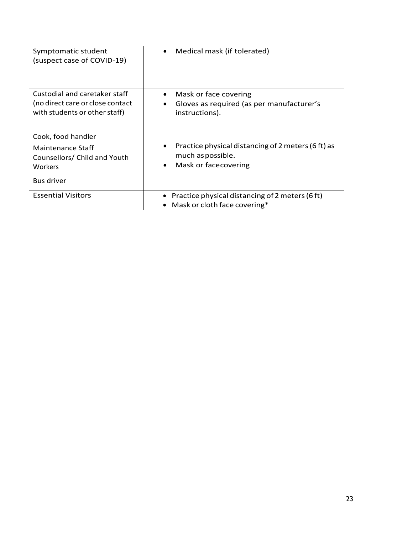| Symptomatic student<br>(suspect case of COVID-19)                 | Medical mask (if tolerated)                                 |
|-------------------------------------------------------------------|-------------------------------------------------------------|
| Custodial and caretaker staff                                     | Mask or face covering                                       |
| (no direct care or close contact<br>with students or other staff) | Gloves as required (as per manufacturer's<br>instructions). |
| Cook, food handler                                                |                                                             |
| Maintenance Staff                                                 | Practice physical distancing of 2 meters (6 ft) as          |
| Counsellors/ Child and Youth                                      | much as possible.                                           |
| Workers                                                           | Mask or facecovering                                        |
| <b>Bus driver</b>                                                 |                                                             |
| <b>Essential Visitors</b>                                         | Practice physical distancing of 2 meters (6 ft)             |
|                                                                   | Mask or cloth face covering*                                |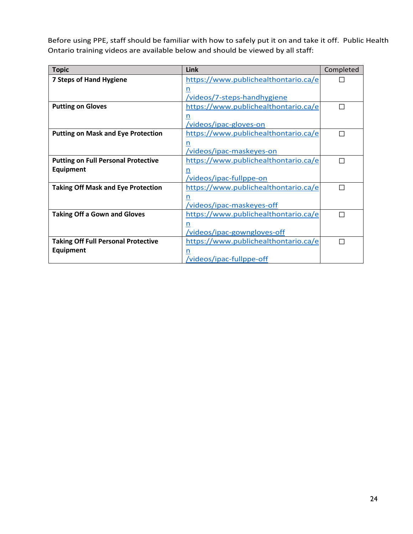Before using PPE, staff should be familiar with how to safely put it on and take it off. Public Health Ontario training videos are available below and should be viewed by all staff:

| <b>Topic</b>                                                                       | Link                                 | Completed                   |
|------------------------------------------------------------------------------------|--------------------------------------|-----------------------------|
| <b>7 Steps of Hand Hygiene</b>                                                     | https://www.publichealthontario.ca/e |                             |
|                                                                                    | n                                    |                             |
|                                                                                    | /videos/7-steps-handhygiene          |                             |
| <b>Putting on Gloves</b>                                                           | https://www.publichealthontario.ca/e | $\mathcal{L}_{\mathcal{A}}$ |
|                                                                                    |                                      |                             |
|                                                                                    | /videos/ipac-gloves-on               |                             |
| <b>Putting on Mask and Eye Protection</b>                                          | https://www.publichealthontario.ca/e | $\mathcal{L}_{\mathcal{A}}$ |
|                                                                                    | n                                    |                             |
|                                                                                    | /videos/ipac-maskeyes-on             |                             |
| <b>Putting on Full Personal Protective</b><br>https://www.publichealthontario.ca/e |                                      | П                           |
| <b>Equipment</b>                                                                   | n                                    |                             |
|                                                                                    | /videos/ipac-fullppe-on              |                             |
| <b>Taking Off Mask and Eye Protection</b>                                          | https://www.publichealthontario.ca/e | ×.                          |
|                                                                                    | n                                    |                             |
|                                                                                    | /videos/ipac-maskeyes-off            |                             |
| <b>Taking Off a Gown and Gloves</b>                                                | https://www.publichealthontario.ca/e | n.                          |
|                                                                                    | n                                    |                             |
|                                                                                    | /videos/ipac-gowngloves-off          |                             |
| <b>Taking Off Full Personal Protective</b>                                         | https://www.publichealthontario.ca/e |                             |
| <b>Equipment</b>                                                                   | n                                    |                             |
|                                                                                    | <u>/videos/ipac-fullppe-off</u>      |                             |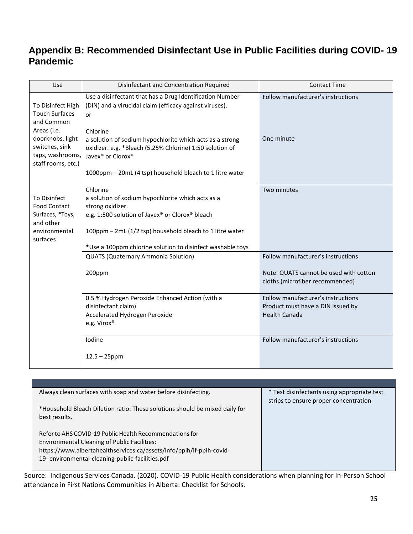### <span id="page-25-0"></span>**Appendix B: Recommended Disinfectant Use in Public Facilities during COVID- 19 Pandemic**

| Use                                                                                                                                                     | Disinfectant and Concentration Required                                                                                                                                                                                                                                                                                                                                | <b>Contact Time</b>                                                                                             |
|---------------------------------------------------------------------------------------------------------------------------------------------------------|------------------------------------------------------------------------------------------------------------------------------------------------------------------------------------------------------------------------------------------------------------------------------------------------------------------------------------------------------------------------|-----------------------------------------------------------------------------------------------------------------|
| To Disinfect High<br><b>Touch Surfaces</b><br>and Common<br>Areas (i.e.<br>doorknobs, light<br>switches, sink<br>taps, washrooms,<br>staff rooms, etc.) | Use a disinfectant that has a Drug Identification Number<br>(DIN) and a virucidal claim (efficacy against viruses).<br>or<br>Chlorine<br>a solution of sodium hypochlorite which acts as a strong<br>oxidizer. e.g. *Bleach (5.25% Chlorine) 1:50 solution of<br>Javex <sup>®</sup> or Clorox <sup>®</sup><br>1000ppm - 20mL (4 tsp) household bleach to 1 litre water | Follow manufacturer's instructions<br>One minute                                                                |
| To Disinfect<br><b>Food Contact</b><br>Surfaces, *Toys,<br>and other<br>environmental<br>surfaces                                                       | Chlorine<br>a solution of sodium hypochlorite which acts as a<br>strong oxidizer.<br>e.g. 1:500 solution of Javex® or Clorox® bleach<br>100ppm - 2mL (1/2 tsp) household bleach to 1 litre water<br>*Use a 100ppm chlorine solution to disinfect washable toys                                                                                                         | Two minutes                                                                                                     |
|                                                                                                                                                         | <b>QUATS (Quaternary Ammonia Solution)</b><br>200ppm                                                                                                                                                                                                                                                                                                                   | Follow manufacturer's instructions<br>Note: QUATS cannot be used with cotton<br>cloths (microfiber recommended) |
|                                                                                                                                                         | 0.5 % Hydrogen Peroxide Enhanced Action (with a<br>disinfectant claim)<br>Accelerated Hydrogen Peroxide<br>e.g. Virox®                                                                                                                                                                                                                                                 | Follow manufacturer's instructions<br>Product must have a DIN issued by<br><b>Health Canada</b>                 |
|                                                                                                                                                         | Iodine<br>$12.5 - 25$ ppm                                                                                                                                                                                                                                                                                                                                              | Follow manufacturer's instructions                                                                              |

| Always clean surfaces with soap and water before disinfecting.                                                           | * Test disinfectants using appropriate test<br>strips to ensure proper concentration |
|--------------------------------------------------------------------------------------------------------------------------|--------------------------------------------------------------------------------------|
| *Household Bleach Dilution ratio: These solutions should be mixed daily for<br>best results.                             |                                                                                      |
| Refer to AHS COVID-19 Public Health Recommendations for<br><b>Environmental Cleaning of Public Facilities:</b>           |                                                                                      |
| https://www.albertahealthservices.ca/assets/info/ppih/if-ppih-covid-<br>19- environmental-cleaning-public-facilities.pdf |                                                                                      |
|                                                                                                                          |                                                                                      |

Source: Indigenous Services Canada. (2020). COVID-19 Public Health considerations when planning for In-Person School attendance in First Nations Communities in Alberta: Checklist for Schools.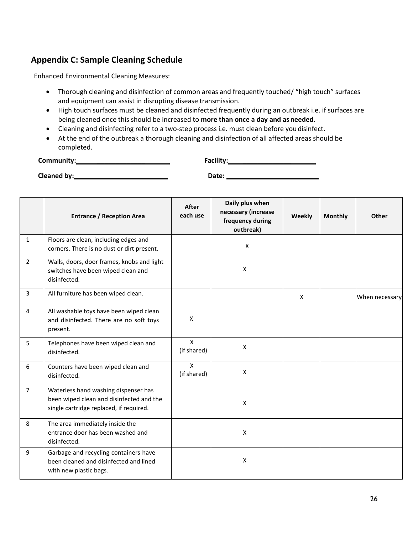### <span id="page-26-0"></span>**Appendix C: Sample Cleaning Schedule**

Enhanced Environmental Cleaning Measures:

- Thorough cleaning and disinfection of common areas and frequently touched/ "high touch" surfaces and equipment can assist in disrupting disease transmission.
- High touch surfaces must be cleaned and disinfected frequently during an outbreak i.e. if surfaces are being cleaned once this should be increased to **more than once a day and as needed**.
- Cleaning and disinfecting refer to a two-step process i.e. must clean before you disinfect.
- At the end of the outbreak a thorough cleaning and disinfection of all affected areas should be completed.

| Community:  | Facility: |  |
|-------------|-----------|--|
| Cleaned by: | Date:     |  |

|                | <b>Entrance / Reception Area</b>                                                                                            | <b>After</b><br>each use    | Daily plus when<br>necessary (increase<br>frequency during<br>outbreak) | Weekly | <b>Monthly</b> | Other          |
|----------------|-----------------------------------------------------------------------------------------------------------------------------|-----------------------------|-------------------------------------------------------------------------|--------|----------------|----------------|
| $\mathbf{1}$   | Floors are clean, including edges and<br>corners. There is no dust or dirt present.                                         |                             | $\mathsf{x}$                                                            |        |                |                |
| $\overline{2}$ | Walls, doors, door frames, knobs and light<br>switches have been wiped clean and<br>disinfected.                            |                             | X                                                                       |        |                |                |
| $\overline{3}$ | All furniture has been wiped clean.                                                                                         |                             |                                                                         | X      |                | When necessary |
| $\overline{4}$ | All washable toys have been wiped clean<br>and disinfected. There are no soft toys<br>present.                              | X                           |                                                                         |        |                |                |
| 5              | Telephones have been wiped clean and<br>disinfected.                                                                        | $\mathsf{X}$<br>(if shared) | $\mathsf{X}$                                                            |        |                |                |
| 6              | Counters have been wiped clean and<br>disinfected.                                                                          | $\mathsf{X}$<br>(if shared) | X                                                                       |        |                |                |
| $\overline{7}$ | Waterless hand washing dispenser has<br>been wiped clean and disinfected and the<br>single cartridge replaced, if required. |                             | X                                                                       |        |                |                |
| 8              | The area immediately inside the<br>entrance door has been washed and<br>disinfected.                                        |                             | X                                                                       |        |                |                |
| 9              | Garbage and recycling containers have<br>been cleaned and disinfected and lined<br>with new plastic bags.                   |                             | X                                                                       |        |                |                |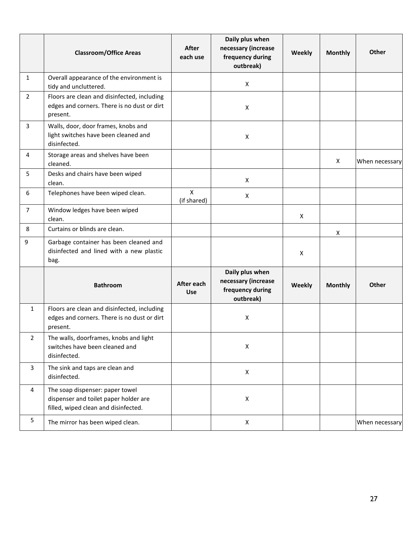|                         | <b>Classroom/Office Areas</b>                                                                                    | After<br>each use           | Daily plus when<br>necessary (increase<br>frequency during<br>outbreak) | Weekly | <b>Monthly</b> | <b>Other</b>   |
|-------------------------|------------------------------------------------------------------------------------------------------------------|-----------------------------|-------------------------------------------------------------------------|--------|----------------|----------------|
| $\mathbf{1}$            | Overall appearance of the environment is<br>tidy and uncluttered.                                                |                             | X                                                                       |        |                |                |
| $\overline{2}$          | Floors are clean and disinfected, including<br>edges and corners. There is no dust or dirt<br>present.           |                             | $\pmb{\mathsf{X}}$                                                      |        |                |                |
| $\overline{3}$          | Walls, door, door frames, knobs and<br>light switches have been cleaned and<br>disinfected.                      |                             | $\pmb{\mathsf{X}}$                                                      |        |                |                |
| 4                       | Storage areas and shelves have been<br>cleaned.                                                                  |                             |                                                                         |        | X              | When necessary |
| 5                       | Desks and chairs have been wiped<br>clean.                                                                       |                             | X                                                                       |        |                |                |
| 6                       | Telephones have been wiped clean.                                                                                | $\mathsf{X}$<br>(if shared) | X                                                                       |        |                |                |
| $\overline{7}$          | Window ledges have been wiped<br>clean.                                                                          |                             |                                                                         | X      |                |                |
| 8                       | Curtains or blinds are clean.                                                                                    |                             |                                                                         |        | X              |                |
| 9                       | Garbage container has been cleaned and<br>disinfected and lined with a new plastic<br>bag.                       |                             |                                                                         | X      |                |                |
|                         | <b>Bathroom</b>                                                                                                  | After each<br><b>Use</b>    | Daily plus when<br>necessary (increase<br>frequency during<br>outbreak) | Weekly | <b>Monthly</b> | <b>Other</b>   |
| $\mathbf{1}$            | Floors are clean and disinfected, including<br>edges and corners. There is no dust or dirt<br>present.           |                             | X                                                                       |        |                |                |
| $\overline{2}$          | The walls, doorframes, knobs and light<br>switches have been cleaned and<br>disinfected.                         |                             | $\pmb{\mathsf{X}}$                                                      |        |                |                |
| $\overline{\mathbf{3}}$ | The sink and taps are clean and<br>disinfected.                                                                  |                             | X                                                                       |        |                |                |
| $\overline{4}$          | The soap dispenser: paper towel<br>dispenser and toilet paper holder are<br>filled, wiped clean and disinfected. |                             | X                                                                       |        |                |                |
| 5                       | The mirror has been wiped clean.                                                                                 |                             | X                                                                       |        |                | When necessary |